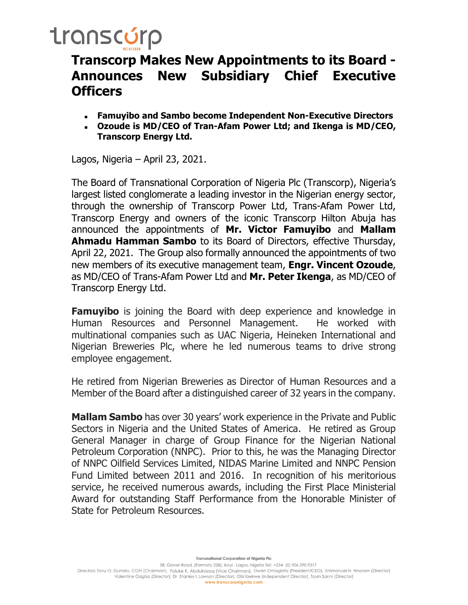# transcúrp

#### Transcorp Makes New Appointments to its Board - Announces New Subsidiary Chief Executive **Officers**

- Famuyibo and Sambo become Independent Non-Executive Directors
- Ozoude is MD/CEO of Tran-Afam Power Ltd; and Ikenga is MD/CEO, Transcorp Energy Ltd.

Lagos, Nigeria – April 23, 2021.

The Board of Transnational Corporation of Nigeria Plc (Transcorp), Nigeria's largest listed conglomerate a leading investor in the Nigerian energy sector, through the ownership of Transcorp Power Ltd, Trans-Afam Power Ltd, Transcorp Energy and owners of the iconic Transcorp Hilton Abuja has announced the appointments of Mr. Victor Famuyibo and Mallam **Ahmadu Hamman Sambo** to its Board of Directors, effective Thursday, April 22, 2021. The Group also formally announced the appointments of two new members of its executive management team, **Engr. Vincent Ozoude**, as MD/CEO of Trans-Afam Power Ltd and **Mr. Peter Ikenga**, as MD/CEO of Transcorp Energy Ltd.

**Famuvibo** is joining the Board with deep experience and knowledge in Human Resources and Personnel Management. He worked with multinational companies such as UAC Nigeria, Heineken International and Nigerian Breweries Plc, where he led numerous teams to drive strong employee engagement.

He retired from Nigerian Breweries as Director of Human Resources and a Member of the Board after a distinguished career of 32 years in the company.

**Mallam Sambo** has over 30 years' work experience in the Private and Public Sectors in Nigeria and the United States of America. He retired as Group General Manager in charge of Group Finance for the Nigerian National Petroleum Corporation (NNPC). Prior to this, he was the Managing Director of NNPC Oilfield Services Limited, NIDAS Marine Limited and NNPC Pension Fund Limited between 2011 and 2016. In recognition of his meritorious service, he received numerous awards, including the First Place Ministerial Award for outstanding Staff Performance from the Honorable Minister of State for Petroleum Resources.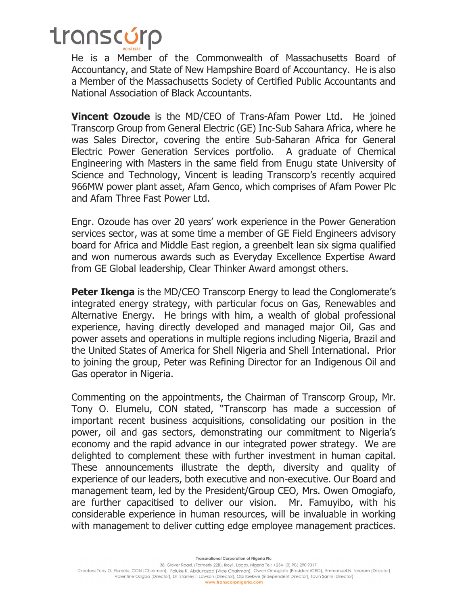# transcúrp

He is a Member of the Commonwealth of Massachusetts Board of Accountancy, and State of New Hampshire Board of Accountancy. He is also a Member of the Massachusetts Society of Certified Public Accountants and National Association of Black Accountants.

Vincent Ozoude is the MD/CEO of Trans-Afam Power Ltd. He joined Transcorp Group from General Electric (GE) Inc-Sub Sahara Africa, where he was Sales Director, covering the entire Sub-Saharan Africa for General Electric Power Generation Services portfolio. A graduate of Chemical Engineering with Masters in the same field from Enugu state University of Science and Technology, Vincent is leading Transcorp's recently acquired 966MW power plant asset, Afam Genco, which comprises of Afam Power Plc and Afam Three Fast Power Ltd.

Engr. Ozoude has over 20 years' work experience in the Power Generation services sector, was at some time a member of GE Field Engineers advisory board for Africa and Middle East region, a greenbelt lean six sigma qualified and won numerous awards such as Everyday Excellence Expertise Award from GE Global leadership, Clear Thinker Award amongst others.

**Peter Ikenga** is the MD/CEO Transcorp Energy to lead the Conglomerate's integrated energy strategy, with particular focus on Gas, Renewables and Alternative Energy. He brings with him, a wealth of global professional experience, having directly developed and managed major Oil, Gas and power assets and operations in multiple regions including Nigeria, Brazil and the United States of America for Shell Nigeria and Shell International. Prior to joining the group, Peter was Refining Director for an Indigenous Oil and Gas operator in Nigeria.

Commenting on the appointments, the Chairman of Transcorp Group, Mr. Tony O. Elumelu, CON stated, "Transcorp has made a succession of important recent business acquisitions, consolidating our position in the power, oil and gas sectors, demonstrating our commitment to Nigeria's economy and the rapid advance in our integrated power strategy. We are delighted to complement these with further investment in human capital. These announcements illustrate the depth, diversity and quality of experience of our leaders, both executive and non-executive. Our Board and management team, led by the President/Group CEO, Mrs. Owen Omogiafo, are further capacitised to deliver our vision. Mr. Famuyibo, with his considerable experience in human resources, will be invaluable in working with management to deliver cutting edge employee management practices.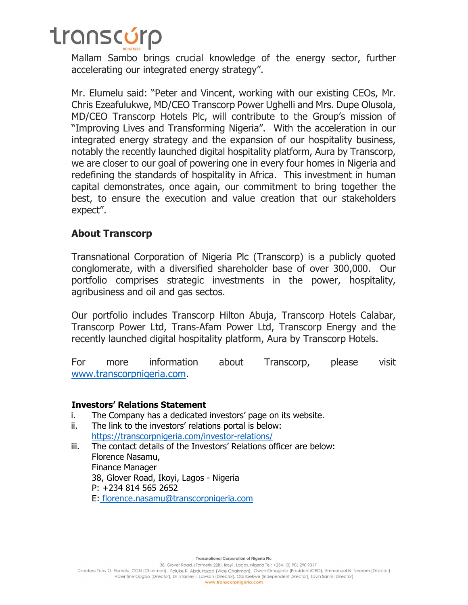# transcúrp

Mallam Sambo brings crucial knowledge of the energy sector, further accelerating our integrated energy strategy".

Mr. Elumelu said: "Peter and Vincent, working with our existing CEOs, Mr. Chris Ezeafulukwe, MD/CEO Transcorp Power Ughelli and Mrs. Dupe Olusola, MD/CEO Transcorp Hotels Plc, will contribute to the Group's mission of "Improving Lives and Transforming Nigeria". With the acceleration in our integrated energy strategy and the expansion of our hospitality business, notably the recently launched digital hospitality platform, Aura by Transcorp, we are closer to our goal of powering one in every four homes in Nigeria and redefining the standards of hospitality in Africa. This investment in human capital demonstrates, once again, our commitment to bring together the best, to ensure the execution and value creation that our stakeholders expect".

#### About Transcorp

Transnational Corporation of Nigeria Plc (Transcorp) is a publicly quoted conglomerate, with a diversified shareholder base of over 300,000. Our portfolio comprises strategic investments in the power, hospitality, agribusiness and oil and gas sectos.

Our portfolio includes Transcorp Hilton Abuja, Transcorp Hotels Calabar, Transcorp Power Ltd, Trans-Afam Power Ltd, Transcorp Energy and the recently launched digital hospitality platform, Aura by Transcorp Hotels.

For more information about Transcorp, please visit www.transcorpnigeria.com.

#### Investors' Relations Statement

- i. The Company has a dedicated investors' page on its website.
- ii. The link to the investors' relations portal is below: https://transcorpnigeria.com/investor-relations/
- iii. The contact details of the Investors' Relations officer are below: Florence Nasamu, Finance Manager 38, Glover Road, Ikoyi, Lagos - Nigeria P: +234 814 565 2652 E: florence.nasamu@transcorpnigeria.com